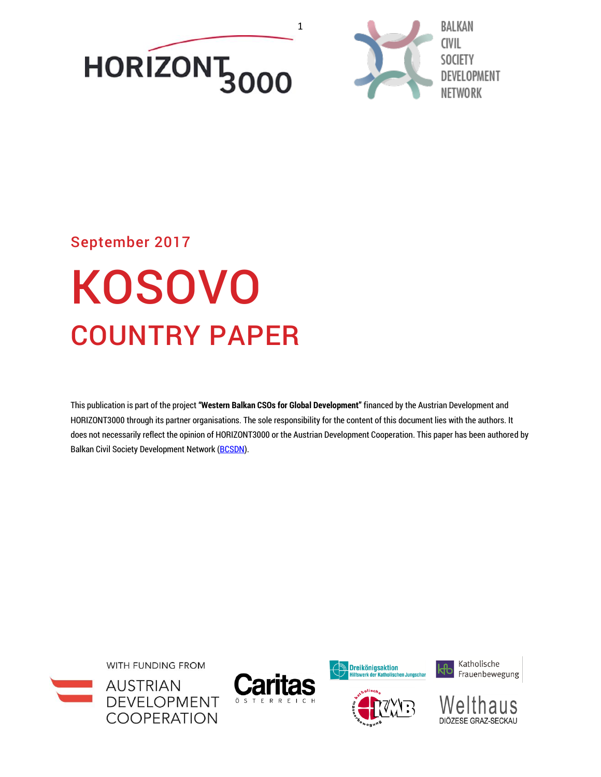<span id="page-0-0"></span>



# September 2017

# KOSOVO COUNTRY PAPER

This publication is part of the project **"Western Balkan CSOs for Global Development"** financed by the Austrian Development and HORIZONT3000 through its partner organisations. The sole responsibility for the content of this document lies with the authors. It does not necessarily reflect the opinion of HORIZONT3000 or the Austrian Development Cooperation. This paper has been authored by Balkan Civil Society Development Network [\(BCSDN\)](http://www.balkancsd.net/).









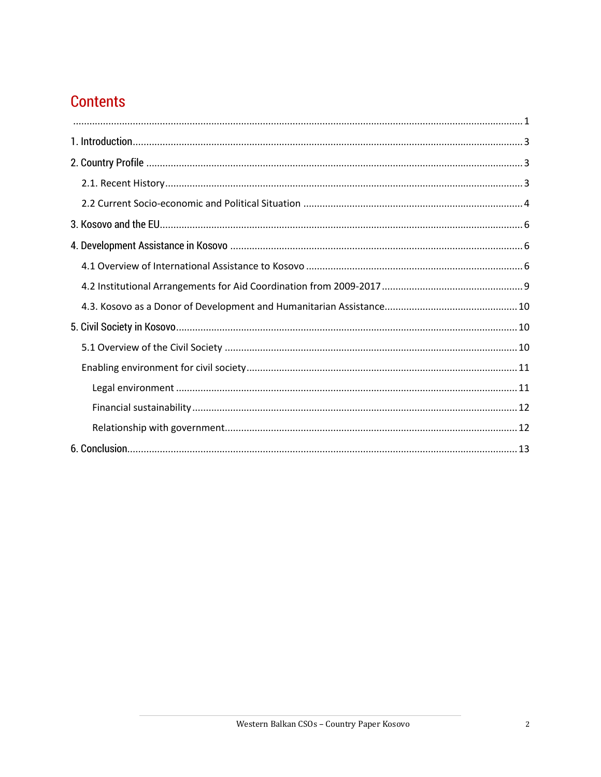# **Contents**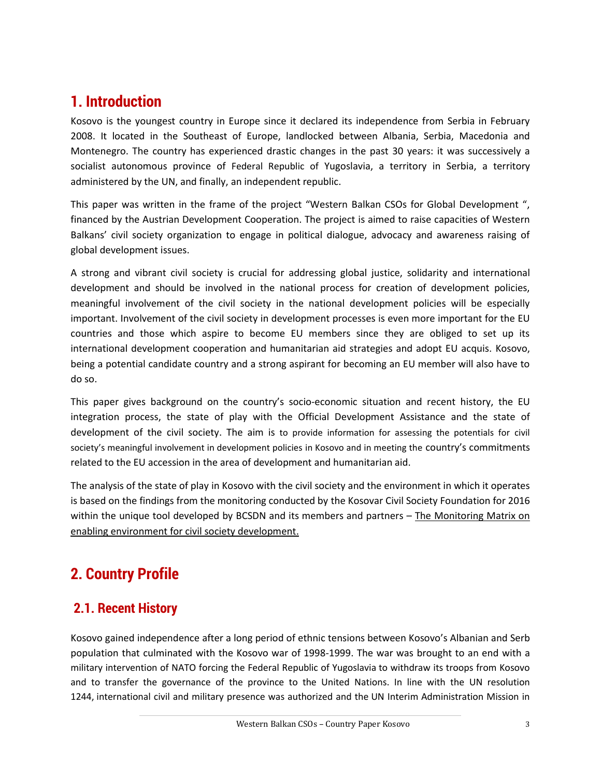# <span id="page-2-0"></span>**1. Introduction**

Kosovo is the youngest country in Europe since it declared its independence from Serbia in February 2008. It located in the Southeast of Europe, landlocked between Albania, Serbia, Macedonia and Montenegro. The country has experienced drastic changes in the past 30 years: it was successively a socialist autonomous province of Federal Republic of Yugoslavia, a territory in Serbia, a territory administered by the UN, and finally, an independent republic.

This paper was written in the frame of the project "Western Balkan CSOs for Global Development ", financed by the Austrian Development Cooperation. The project is aimed to raise capacities of Western Balkans' civil society organization to engage in political dialogue, advocacy and awareness raising of global development issues.

A strong and vibrant civil society is crucial for addressing global justice, solidarity and international development and should be involved in the national process for creation of development policies, meaningful involvement of the civil society in the national development policies will be especially important. Involvement of the civil society in development processes is even more important for the EU countries and those which aspire to become EU members since they are obliged to set up its international development cooperation and humanitarian aid strategies and adopt EU acquis. Kosovo, being a potential candidate country and a strong aspirant for becoming an EU member will also have to do so.

This paper gives background on the country's socio-economic situation and recent history, the EU integration process, the state of play with the Official Development Assistance and the state of development of the civil society. The aim is to provide information for assessing the potentials for civil society's meaningful involvement in development policies in Kosovo and in meeting the country's commitments related to the EU accession in the area of development and humanitarian aid.

The analysis of the state of play in Kosovo with the civil society and the environment in which it operates is based on the findings from the monitoring conducted by the Kosovar Civil Society Foundation for 2016 within the unique tool developed by BCSDN and its members and partners  $-$  The Monitoring Matrix on [enabling environment for civil society development.](https://monitoringmatrix.net/)

# <span id="page-2-1"></span>**2. Country Profile**

## <span id="page-2-2"></span>**2.1. Recent History**

Kosovo gained independence after a long period of ethnic tensions between Kosovo's Albanian and Serb population that culminated with the Kosovo war of 1998-1999. The war was brought to an end with a military intervention of NATO forcing the Federal Republic of Yugoslavia to withdraw its troops from Kosovo and to transfer the governance of the province to the United Nations. In line with the UN resolution 1244, international civil and military presence was authorized and the UN Interim Administration Mission in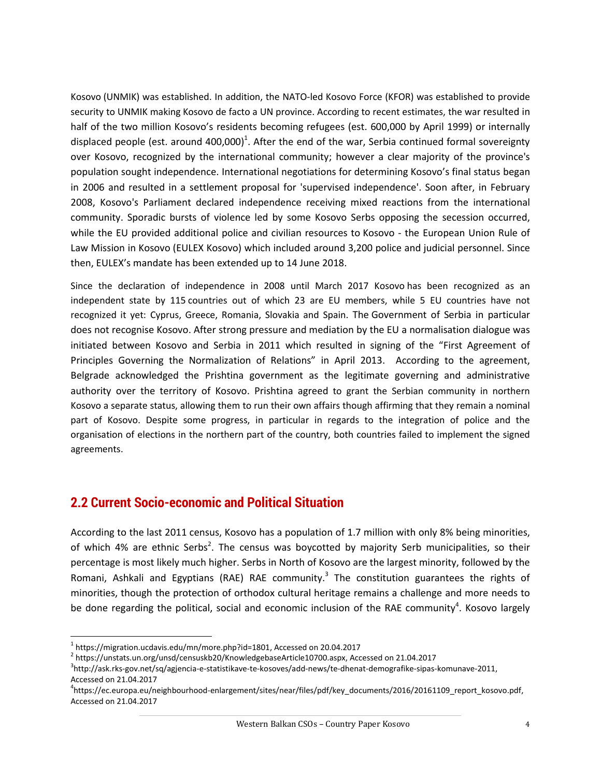Kosovo (UNMIK) was established. In addition, the NATO-led Kosovo Force (KFOR) was established to provide security to UNMIK making Kosovo de facto a UN province. According to recent estimates, the war resulted in half of the two million Kosovo's residents becoming refugees (est. 600,000 by April 1999) or internally displaced people (est. around 400,000)<sup>1</sup>. After the end of the war, Serbia continued formal sovereignty over Kosovo, recognized by the international community; however a clear majority of the province's population sought independence. International negotiations for determining Kosovo's final status began in 2006 and resulted in a settlement proposal for 'supervised independence'. Soon after, in February 2008, Kosovo's Parliament declared independence receiving mixed reactions from the international community. Sporadic bursts of violence led by some Kosovo Serbs opposing the secession occurred, while the EU provided additional police and civilian resources to Kosovo - the European Union Rule of Law Mission in Kosovo (EULEX Kosovo) which included around 3,200 police and judicial personnel. Since then, EULEX's mandate has been extended up to 14 June 2018.

Since the declaration of independence in 2008 until March 2017 Kosovo has been recognized as an independent state by 115 countries out of which 23 are EU members, while 5 EU countries have not recognized it yet: Cyprus, Greece, Romania, Slovakia and Spain. The Government of Serbia in particular does not recognise Kosovo. After strong pressure and mediation by the EU a normalisation dialogue was initiated between Kosovo and Serbia in 2011 which resulted in signing of the "First Agreement of Principles Governing the Normalization of Relations" in April 2013. According to the agreement, Belgrade acknowledged the Prishtina government as the legitimate governing and administrative authority over the territory of Kosovo. Prishtina agreed to grant the Serbian community in northern Kosovo a separate status, allowing them to run their own affairs though affirming that they remain a nominal part of Kosovo. Despite some progress, in particular in regards to the integration of police and the organisation of elections in the northern part of the country, both countries failed to implement the signed agreements.

## <span id="page-3-0"></span>**2.2 Current Socio-economic and Political Situation**

According to the last 2011 census, Kosovo has a population of 1.7 million with only 8% being minorities, of which 4% are ethnic Serbs<sup>2</sup>. The census was boycotted by majority Serb municipalities, so their percentage is most likely much higher. Serbs in North of Kosovo are the largest minority, followed by the Romani, Ashkali and Egyptians (RAE) RAE community.<sup>3</sup> The constitution guarantees the rights of minorities, though the protection of orthodox cultural heritage remains a challenge and more needs to be done regarding the political, social and economic inclusion of the RAE community<sup>4</sup>. Kosovo largely

 $\overline{\phantom{a}}$ 

 $^{\rm 1}$  [https://migration.ucdavis.edu/mn/more.php?id=1801,](https://migration.ucdavis.edu/mn/more.php?id=1801) Accessed on 20.04.2017

<sup>2</sup> [https://unstats.un.org/unsd/censuskb20/KnowledgebaseArticle10700.aspx,](https://unstats.un.org/unsd/censuskb20/KnowledgebaseArticle10700.aspx) Accessed on 21.04.2017

<sup>3</sup> [http://ask.rks-gov.net/sq/agjencia-e-statistikave-te-kosoves/add-news/te-dhenat-demografike-sipas-komunave-2011,](http://ask.rks-gov.net/sq/agjencia-e-statistikave-te-kosoves/add-news/te-dhenat-demografike-sipas-komunave-2011) Accessed on 21.04.2017

<sup>4</sup> [https://ec.europa.eu/neighbourhood-enlargement/sites/near/files/pdf/key\\_documents/2016/20161109\\_report\\_kosovo.pdf,](https://ec.europa.eu/neighbourhood-enlargement/sites/near/files/pdf/key_documents/2016/20161109_report_kosovo.pdf) Accessed on 21.04.2017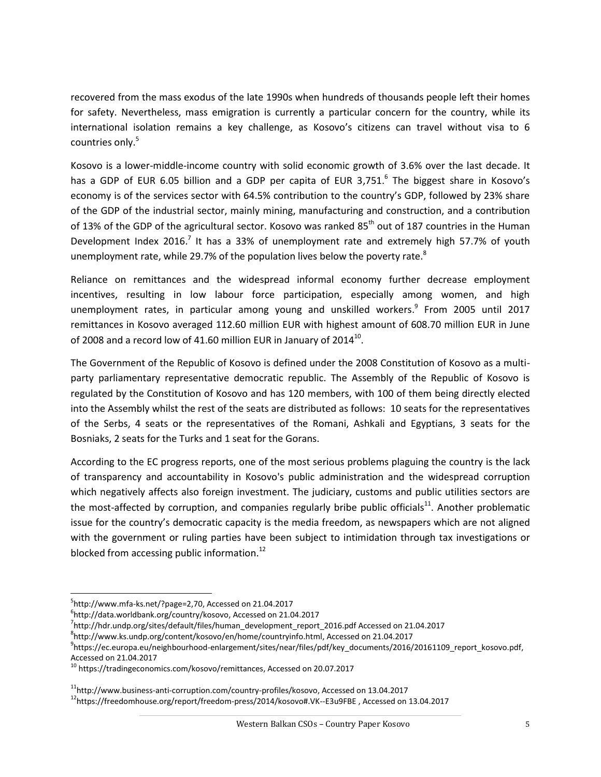recovered from the mass exodus of the late 1990s when hundreds of thousands people left their homes for safety. Nevertheless, mass emigration is currently a particular concern for the country, while its international isolation remains a key challenge, as Kosovo's citizens can travel without visa to 6 countries only.<sup>5</sup>

Kosovo is a lower-middle-income country with solid economic growth of 3.6% over the last decade. It has a GDP of EUR 6.05 billion and a GDP per capita of EUR 3,751.<sup>6</sup> The biggest share in Kosovo's economy is of the services sector with 64.5% contribution to the country's GDP, followed by 23% share of the GDP of the industrial sector, mainly mining, manufacturing and construction, and a contribution of 13% of the GDP of the agricultural sector. Kosovo was ranked 85<sup>th</sup> out of 187 countries in the Human Development Index 2016.<sup>7</sup> It has a 33% of unemployment rate and extremely high 57.7% of youth unemployment rate, while 29.7% of the population lives below the poverty rate. ${}^{8}$ 

Reliance on remittances and the widespread informal economy further decrease employment incentives, resulting in low labour force participation, especially among women, and high unemployment rates, in particular among young and unskilled workers. 9 From 2005 until 2017 remittances in Kosovo averaged 112.60 million EUR with highest amount of 608.70 million EUR in June of 2008 and a record low of 41.60 million EUR in January of 2014 $^{10}$ .

The Government of the Republic of Kosovo is defined under the 2008 Constitution of Kosovo as a multiparty parliamentary representative democratic republic. The Assembly of the Republic of Kosovo is regulated by the Constitution of Kosovo and has 120 members, with 100 of them being directly elected into the Assembly whilst the rest of the seats are distributed as follows: 10 seats for the representatives of the Serbs, 4 seats or the representatives of the Romani, Ashkali and Egyptians, 3 seats for the Bosniaks, 2 seats for the Turks and 1 seat for the Gorans.

According to the EC progress reports, one of the most serious problems plaguing the country is the lack of transparency and accountability in Kosovo's public administration and the widespread corruption which negatively affects also foreign investment. The judiciary, customs and public utilities sectors are the most-affected by corruption, and companies regularly bribe public officials<sup>11</sup>. Another problematic issue for the country's democratic capacity is the media freedom, as newspapers which are not aligned with the government or ruling parties have been subject to intimidation through tax investigations or blocked from accessing public information.<sup>12</sup>

 $\overline{\phantom{a}}$ 

7 http://hdr.undp.org/sites/default/files/human\_development\_report\_2016.pdf Accessed on 21.04.2017

<sup>5</sup> [http://www.mfa-ks.net/?page=2,70,](http://www.mfa-ks.net/?page=2,70) Accessed on 21.04.2017

<sup>6</sup> [http://data.worldbank.org/country/kosovo,](http://data.worldbank.org/country/kosovo) Accessed on 21.04.2017

<sup>8</sup> [http://www.ks.undp.org/content/kosovo/en/home/countryinfo.html,](http://www.ks.undp.org/content/kosovo/en/home/countryinfo.html) Accessed on 21.04.2017

<sup>9</sup> [https://ec.europa.eu/neighbourhood-enlargement/sites/near/files/pdf/key\\_documents/2016/20161109\\_report\\_kosovo.pdf,](https://ec.europa.eu/neighbourhood-enlargement/sites/near/files/pdf/key_documents/2016/20161109_report_kosovo.pdf) Accessed on 21.04.2017

<sup>&</sup>lt;sup>10</sup> [https://tradingeconomics.com/kosovo/remittances,](https://tradingeconomics.com/kosovo/remittances) Accessed on 20.07.2017

<sup>&</sup>lt;sup>11</sup>[http://www.business-anti-corruption.com/country-profiles/kosovo,](http://www.business-anti-corruption.com/country-profiles/kosovo) Accessed on 13.04.2017

<sup>12</sup><https://freedomhouse.org/report/freedom-press/2014/kosovo#.VK--E3u9FBE> , Accessed on 13.04.2017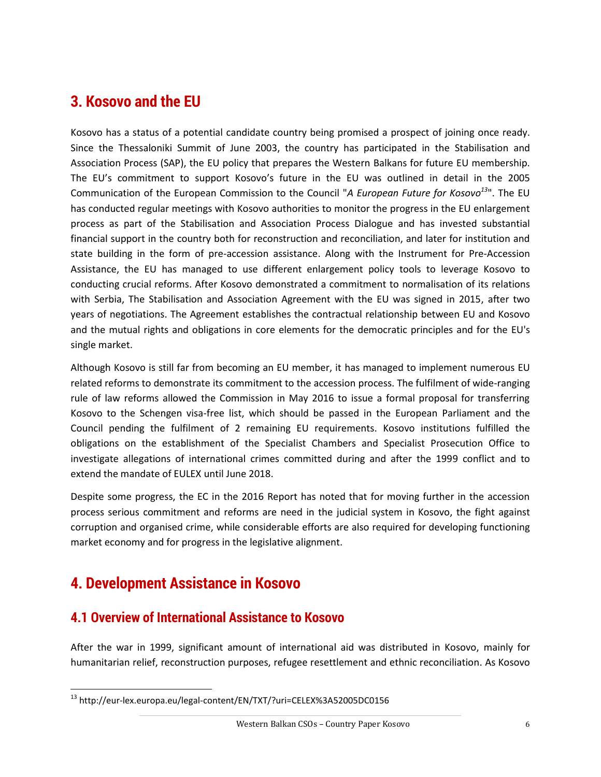# <span id="page-5-0"></span>**3. Kosovo and the EU**

Kosovo has a status of a potential candidate country being promised a prospect of joining once ready. Since the Thessaloniki Summit of June 2003, the country has participated in the Stabilisation and Association Process (SAP), the EU policy that prepares the Western Balkans for future EU membership. The EU's commitment to support Kosovo's future in the EU was outlined in detail in the 2005 Communication of the European Commission to the Council "*A European Future for Kosovo<sup>13</sup>*". The EU has conducted regular meetings with Kosovo authorities to monitor the progress in the EU enlargement process as part of the Stabilisation and Association Process Dialogue and has invested substantial financial support in the country both for reconstruction and reconciliation, and later for institution and state building in the form of pre-accession assistance. Along with the Instrument for Pre-Accession Assistance, the EU has managed to use different enlargement policy tools to leverage Kosovo to conducting crucial reforms. After Kosovo demonstrated a commitment to normalisation of its relations with Serbia, The Stabilisation and Association Agreement with the EU was signed in 2015, after two years of negotiations. The Agreement establishes the contractual relationship between EU and Kosovo and the mutual rights and obligations in core elements for the democratic principles and for the EU's single market.

Although Kosovo is still far from becoming an EU member, it has managed to implement numerous EU related reforms to demonstrate its commitment to the accession process. The fulfilment of wide-ranging rule of law reforms allowed the Commission in May 2016 to issue a formal proposal for transferring Kosovo to the Schengen visa-free list, which should be passed in the European Parliament and the Council pending the fulfilment of 2 remaining EU requirements. Kosovo institutions fulfilled the obligations on the establishment of the Specialist Chambers and Specialist Prosecution Office to investigate allegations of international crimes committed during and after the 1999 conflict and to extend the mandate of EULEX until June 2018.

Despite some progress, the EC in the 2016 Report has noted that for moving further in the accession process serious commitment and reforms are need in the judicial system in Kosovo, the fight against corruption and organised crime, while considerable efforts are also required for developing functioning market economy and for progress in the legislative alignment.

# <span id="page-5-1"></span>**4. Development Assistance in Kosovo**

 $\overline{\phantom{a}}$ 

#### <span id="page-5-2"></span>**4.1 Overview of International Assistance to Kosovo**

After the war in 1999, significant amount of international aid was distributed in Kosovo, mainly for humanitarian relief, reconstruction purposes, refugee resettlement and ethnic reconciliation. As Kosovo

<sup>13</sup> http://eur-lex.europa.eu/legal-content/EN/TXT/?uri=CELEX%3A52005DC0156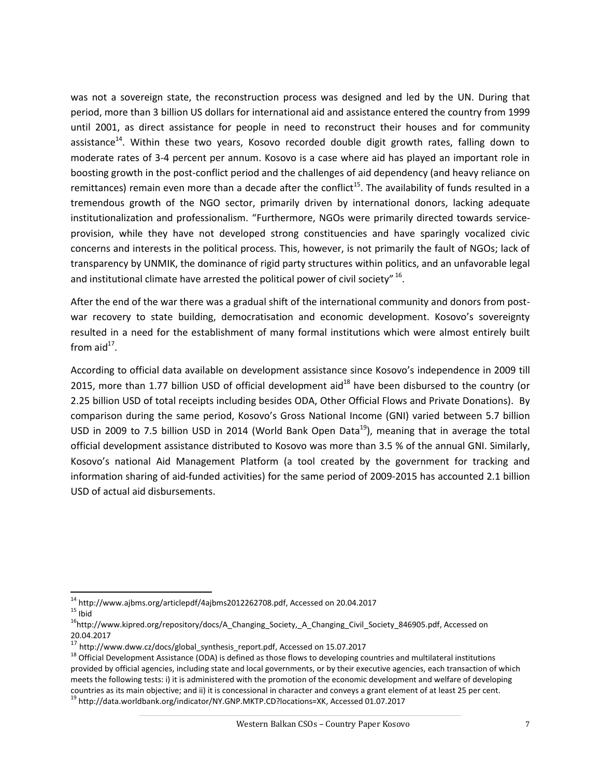was not a sovereign state, the reconstruction process was designed and led by the UN. During that period, more than 3 billion US dollars for international aid and assistance entered the country from 1999 until 2001, as direct assistance for people in need to reconstruct their houses and for community assistance<sup>14</sup>. Within these two years, Kosovo recorded double digit growth rates, falling down to moderate rates of 3-4 percent per annum. Kosovo is a case where aid has played an important role in boosting growth in the post-conflict period and the challenges of aid dependency (and heavy reliance on remittances) remain even more than a decade after the conflict<sup>15</sup>. The availability of funds resulted in a tremendous growth of the NGO sector, primarily driven by international donors, lacking adequate institutionalization and professionalism. "Furthermore, NGOs were primarily directed towards serviceprovision, while they have not developed strong constituencies and have sparingly vocalized civic concerns and interests in the political process. This, however, is not primarily the fault of NGOs; lack of transparency by UNMIK, the dominance of rigid party structures within politics, and an unfavorable legal and institutional climate have arrested the political power of civil society"  $^{16}$ .

After the end of the war there was a gradual shift of the international community and donors from postwar recovery to state building, democratisation and economic development. Kosovo's sovereignty resulted in a need for the establishment of many formal institutions which were almost entirely built from aid $^{17}$ .

According to official data available on development assistance since Kosovo's independence in 2009 till 2015, more than 1.77 billion USD of official development aid $^{18}$  have been disbursed to the country (or 2.25 billion USD of total receipts including besides ODA, Other Official Flows and Private Donations). By comparison during the same period, Kosovo's Gross National Income (GNI) varied between 5.7 billion USD in 2009 to 7.5 billion USD in 2014 (World Bank Open Data<sup>19</sup>), meaning that in average the total official development assistance distributed to Kosovo was more than 3.5 % of the annual GNI. Similarly, Kosovo's national Aid Management Platform (a tool created by the government for tracking and information sharing of aid-funded activities) for the same period of 2009-2015 has accounted 2.1 billion USD of actual aid disbursements.

 $\overline{\phantom{a}}$  $^{14}$  [http://www.ajbms.org/articlepdf/4ajbms2012262708.pdf,](http://www.ajbms.org/articlepdf/4ajbms2012262708.pdf) Accessed on 20.04.2017

 $15$  Ibid

<sup>&</sup>lt;sup>16</sup>[http://www.kipred.org/repository/docs/A\\_Changing\\_Society,\\_A\\_Changing\\_Civil\\_Society\\_846905.pdf,](http://www.kipred.org/repository/docs/A_Changing_Society,_A_Changing_Civil_Society_846905.pdf) Accessed on 20.04.2017

 $17$  [http://www.dww.cz/docs/global\\_synthesis\\_report.pdf,](http://www.dww.cz/docs/global_synthesis_report.pdf) Accessed on 15.07.2017

<sup>&</sup>lt;sup>18</sup> Official Development Assistance (ODA) is defined as those flows to developing countries and multilateral institutions provided by official agencies, including state and local governments, or by their executive agencies, each transaction of which meets the following tests: i) it is administered with the promotion of the economic development and welfare of developing countries as its main objective; and ii) it is concessional in character and conveys a grant element of at least 25 per cent. <sup>19</sup> [http://data.worldbank.org/indicator/NY.GNP.MKTP.CD?locations=XK,](http://data.worldbank.org/indicator/NY.GNP.MKTP.CD?locations=XK) Accessed 01.07.2017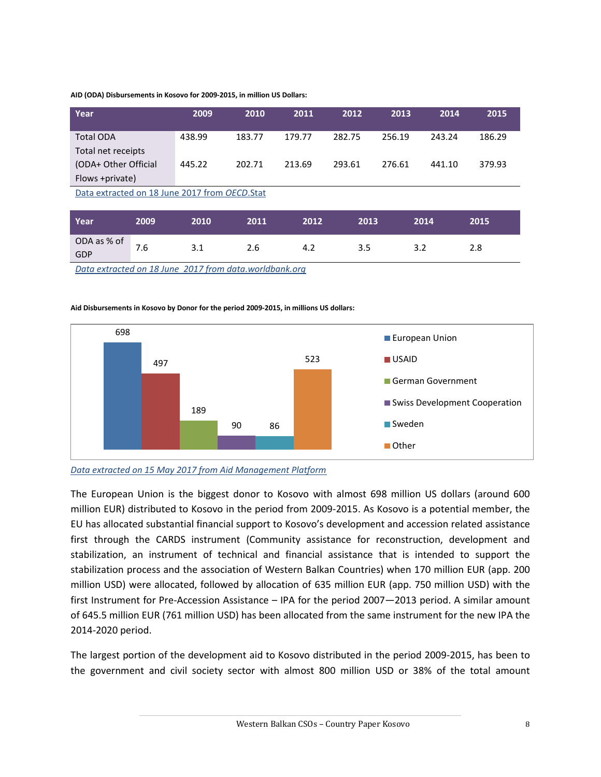#### **AID (ODA) Disbursements in Kosovo for 2009-2015, in million US Dollars:**

| Year                                          | 2009   | 2010   | 2011   | 2012   | 2013   | 2014   | 2015   |  |
|-----------------------------------------------|--------|--------|--------|--------|--------|--------|--------|--|
| <b>Total ODA</b>                              | 438.99 | 183.77 | 179.77 | 282.75 | 256.19 | 243.24 | 186.29 |  |
| Total net receipts                            |        |        |        |        |        |        |        |  |
| (ODA+ Other Official                          | 445.22 | 202.71 | 213.69 | 293.61 | 276.61 | 441.10 | 379.93 |  |
| Flows +private)                               |        |        |        |        |        |        |        |  |
| Data extracted on 18 June 2017 from OECD.Stat |        |        |        |        |        |        |        |  |
|                                               |        |        |        |        |        |        |        |  |
| 2009<br>Year                                  | 2010   | 2011   | 2012   | 2013   |        | 2014   | 2015   |  |

7.6 3.1 2.6 4.2 3.5 3.2 2.8

*[Data extracted on 18 June 2017 from data.worldbank.org](http://stats.oecd.org/)*

ODA as % of

GDP

#### **Aid Disbursements in Kosovo by Donor for the period 2009-2015, in millions US dollars:**



#### *[Data extracted on 15 May 2017 from Aid Management Platform](http://amp-mei.net/TEMPLATE/ampTemplate/dashboard/build/index.html?d=TEMPLATE/ampTemplate/dashboard/build/index.html#saved/78)*

The European Union is the biggest donor to Kosovo with almost 698 million US dollars (around 600 million EUR) distributed to Kosovo in the period from 2009-2015. As Kosovo is a potential member, the EU has allocated substantial financial support to Kosovo's development and accession related assistance first through the CARDS instrument (Community assistance for reconstruction, development and stabilization, an instrument of technical and financial assistance that is intended to support the stabilization process and the association of Western Balkan Countries) when 170 million EUR (app. 200 million USD) were allocated, followed by allocation of 635 million EUR (app. 750 million USD) with the first Instrument for Pre-Accession Assistance – IPA for the period 2007—2013 period. A similar amount of 645.5 million EUR (761 million USD) has been allocated from the same instrument for the new IPA the 2014-2020 period.

The largest portion of the development aid to Kosovo distributed in the period 2009-2015, has been to the government and civil society sector with almost 800 million USD or 38% of the total amount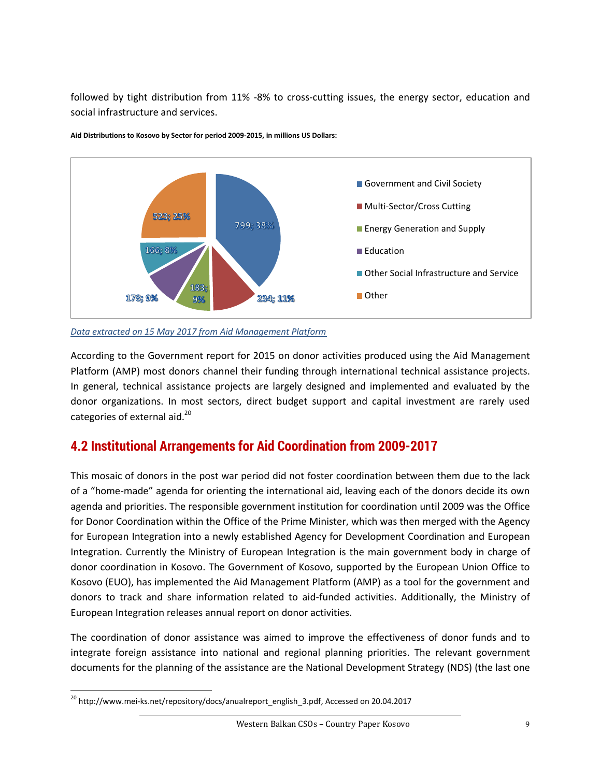followed by tight distribution from 11% -8% to cross-cutting issues, the energy sector, education and social infrastructure and services.



**Aid Distributions to Kosovo by Sector for period 2009-2015, in millions US Dollars:**

*[Data extracted on 15 May 2017 from Aid Management Platform](http://amp-mei.net/TEMPLATE/ampTemplate/dashboard/build/index.html?d=TEMPLATE/ampTemplate/dashboard/build/index.html#saved/78)*

According to the Government report for 2015 on donor activities produced using the Aid Management Platform (AMP) most donors channel their funding through international technical assistance projects. In general, technical assistance projects are largely designed and implemented and evaluated by the donor organizations. In most sectors, direct budget support and capital investment are rarely used categories of external aid.<sup>20</sup>

## <span id="page-8-0"></span>**4.2 Institutional Arrangements for Aid Coordination from 2009-2017**

This mosaic of donors in the post war period did not foster coordination between them due to the lack of a "home-made" agenda for orienting the international aid, leaving each of the donors decide its own agenda and priorities. The responsible government institution for coordination until 2009 was the Office for Donor Coordination within the Office of the Prime Minister, which was then merged with the Agency for European Integration into a newly established Agency for Development Coordination and European Integration. Currently the Ministry of European Integration is the main government body in charge of donor coordination in Kosovo. The Government of Kosovo, supported by the European Union Office to Kosovo (EUO), has implemented the Aid Management Platform (AMP) as a tool for the government and donors to track and share information related to aid-funded activities. Additionally, the Ministry of European Integration releases annual report on donor activities.

The coordination of donor assistance was aimed to improve the effectiveness of donor funds and to integrate foreign assistance into national and regional planning priorities. The relevant government documents for the planning of the assistance are the National Development Strategy (NDS) (the last one

 $\overline{a}$ 

<sup>&</sup>lt;sup>20</sup> [http://www.mei-ks.net/repository/docs/anualreport\\_english\\_3.pdf,](http://www.mei-ks.net/repository/docs/anualreport_english_3.pdf) Accessed on 20.04.2017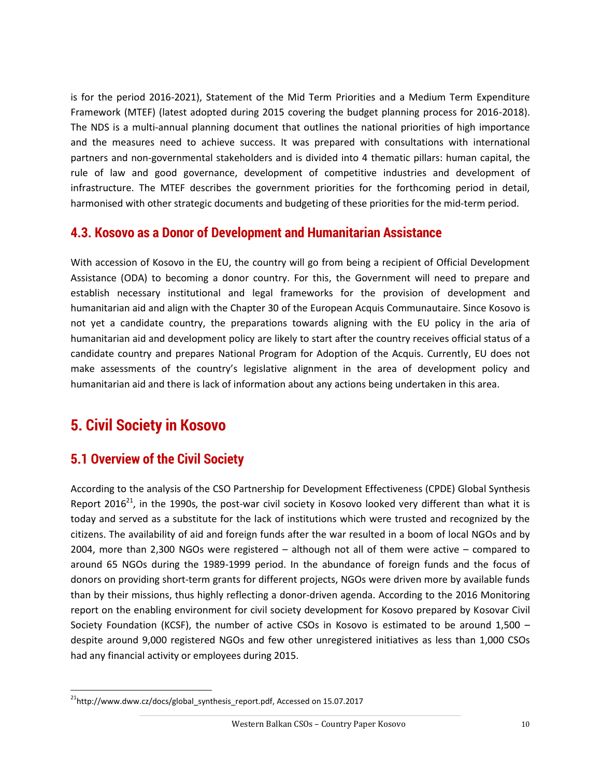is for the period 2016-2021), Statement of the Mid Term Priorities and a Medium Term Expenditure Framework (MTEF) (latest adopted during 2015 covering the budget planning process for 2016-2018). The NDS is a multi-annual planning document that outlines the national priorities of high importance and the measures need to achieve success. It was prepared with consultations with international partners and non-governmental stakeholders and is divided into 4 thematic pillars: human capital, the rule of law and good governance, development of competitive industries and development of infrastructure. The MTEF describes the government priorities for the forthcoming period in detail, harmonised with other strategic documents and budgeting of these priorities for the mid-term period.

#### <span id="page-9-0"></span>**4.3. Kosovo as a Donor of Development and Humanitarian Assistance**

With accession of Kosovo in the EU, the country will go from being a recipient of Official Development Assistance (ODA) to becoming a donor country. For this, the Government will need to prepare and establish necessary institutional and legal frameworks for the provision of development and humanitarian aid and align with the Chapter 30 of the European Acquis Communautaire. Since Kosovo is not yet a candidate country, the preparations towards aligning with the EU policy in the aria of humanitarian aid and development policy are likely to start after the country receives official status of a candidate country and prepares National Program for Adoption of the Acquis. Currently, EU does not make assessments of the country's legislative alignment in the area of development policy and humanitarian aid and there is lack of information about any actions being undertaken in this area.

# <span id="page-9-1"></span>**5. Civil Society in Kosovo**

#### <span id="page-9-2"></span>**5.1 Overview of the Civil Society**

According to the analysis of the CSO Partnership for Development Effectiveness (CPDE) Global Synthesis Report 2016<sup>21</sup>, in the 1990s, the post-war civil society in Kosovo looked very different than what it is today and served as a substitute for the lack of institutions which were trusted and recognized by the citizens. The availability of aid and foreign funds after the war resulted in a boom of local NGOs and by 2004, more than 2,300 NGOs were registered – although not all of them were active – compared to around 65 NGOs during the 1989-1999 period. In the abundance of foreign funds and the focus of donors on providing short-term grants for different projects, NGOs were driven more by available funds than by their missions, thus highly reflecting a donor-driven agenda. According to the 2016 Monitoring report on the enabling environment for civil society development for Kosovo prepared by Kosovar Civil Society Foundation (KCSF), the number of active CSOs in Kosovo is estimated to be around 1,500 – despite around 9,000 registered NGOs and few other unregistered initiatives as less than 1,000 CSOs had any financial activity or employees during 2015.

 $\overline{a}$ <sup>21</sup>[http://www.dww.cz/docs/global\\_synthesis\\_report.pdf,](http://www.dww.cz/docs/global_synthesis_report.pdf) Accessed on 15.07.2017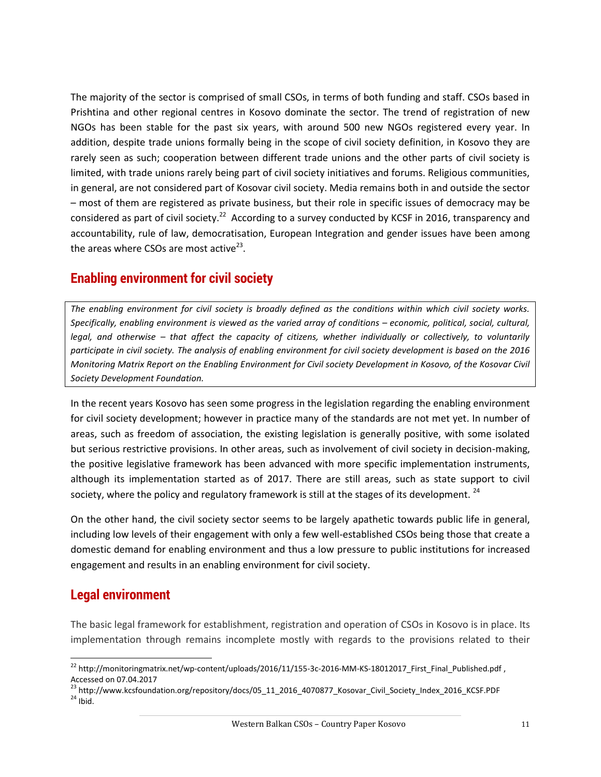The majority of the sector is comprised of small CSOs, in terms of both funding and staff. CSOs based in Prishtina and other regional centres in Kosovo dominate the sector. The trend of registration of new NGOs has been stable for the past six years, with around 500 new NGOs registered every year. In addition, despite trade unions formally being in the scope of civil society definition, in Kosovo they are rarely seen as such; cooperation between different trade unions and the other parts of civil society is limited, with trade unions rarely being part of civil society initiatives and forums. Religious communities, in general, are not considered part of Kosovar civil society. Media remains both in and outside the sector – most of them are registered as private business, but their role in specific issues of democracy may be considered as part of civil society.<sup>22</sup> According to a survey conducted by KCSF in 2016, transparency and accountability, rule of law, democratisation, European Integration and gender issues have been among the areas where CSOs are most active<sup>23</sup>.

## <span id="page-10-0"></span>**Enabling environment for civil society**

*The enabling environment for civil society is broadly defined as the conditions within which civil society works. Specifically, enabling environment is viewed as the varied array of conditions – economic, political, social, cultural, legal, and otherwise – that affect the capacity of citizens, whether individually or collectively, to voluntarily participate in civil society. The analysis of enabling environment for civil society development is based on the 2016 Monitoring Matrix Report on the Enabling Environment for Civil society Development in Kosovo, of the Kosovar Civil Society Development Foundation.* 

In the recent years Kosovo has seen some progress in the legislation regarding the enabling environment for civil society development; however in practice many of the standards are not met yet. In number of areas, such as freedom of association, the existing legislation is generally positive, with some isolated but serious restrictive provisions. In other areas, such as involvement of civil society in decision-making, the positive legislative framework has been advanced with more specific implementation instruments, although its implementation started as of 2017. There are still areas, such as state support to civil society, where the policy and regulatory framework is still at the stages of its development.  $^{24}$ 

On the other hand, the civil society sector seems to be largely apathetic towards public life in general, including low levels of their engagement with only a few well-established CSOs being those that create a domestic demand for enabling environment and thus a low pressure to public institutions for increased engagement and results in an enabling environment for civil society.

## <span id="page-10-1"></span>**Legal environment**

 $\overline{a}$ 

The basic legal framework for establishment, registration and operation of CSOs in Kosovo is in place. Its implementation through remains incomplete mostly with regards to the provisions related to their

<sup>&</sup>lt;sup>22</sup> [http://monitoringmatrix.net/wp-content/uploads/2016/11/155-3c-2016-MM-KS-18012017\\_First\\_Final\\_Published.pdf](http://monitoringmatrix.net/wp-content/uploads/2016/11/155-3c-2016-MM-KS-18012017_First_Final_Published.pdf), Accessed on 07.04.2017

<sup>&</sup>lt;sup>23</sup> http://www.kcsfoundation.org/repository/docs/05\_11\_2016\_4070877\_Kosovar\_Civil\_Society\_Index\_2016\_KCSF.PDF  $24$  Ibid.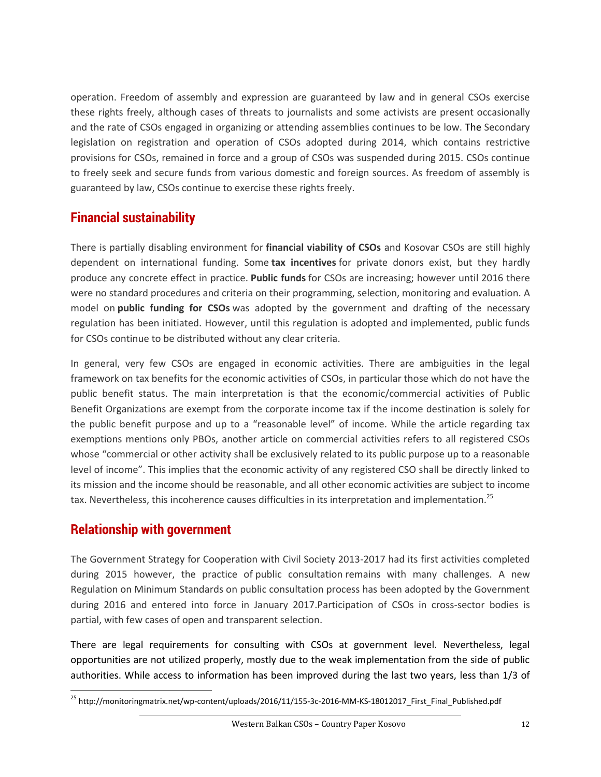operation. Freedom of assembly and expression are guaranteed by law and in general CSOs exercise these rights freely, although cases of threats to journalists and some activists are present occasionally and the rate of CSOs engaged in organizing or attending assemblies continues to be low. The Secondary legislation on registration and operation of CSOs adopted during 2014, which contains restrictive provisions for CSOs, remained in force and a group of CSOs was suspended during 2015. CSOs continue to freely seek and secure funds from various domestic and foreign sources. As freedom of assembly is guaranteed by law, CSOs continue to exercise these rights freely.

## <span id="page-11-0"></span>**Financial sustainability**

There is partially disabling environment for **financial viability of CSOs** and Kosovar CSOs are still highly dependent on international funding. Some **tax incentives** for private donors exist, but they hardly produce any concrete effect in practice. **Public funds** for CSOs are increasing; however until 2016 there were no standard procedures and criteria on their programming, selection, monitoring and evaluation. A model on **public funding for CSOs** was adopted by the government and drafting of the necessary regulation has been initiated. However, until this regulation is adopted and implemented, public funds for CSOs continue to be distributed without any clear criteria.

In general, very few CSOs are engaged in economic activities. There are ambiguities in the legal framework on tax benefits for the economic activities of CSOs, in particular those which do not have the public benefit status. The main interpretation is that the economic/commercial activities of Public Benefit Organizations are exempt from the corporate income tax if the income destination is solely for the public benefit purpose and up to a "reasonable level" of income. While the article regarding tax exemptions mentions only PBOs, another article on commercial activities refers to all registered CSOs whose "commercial or other activity shall be exclusively related to its public purpose up to a reasonable level of income". This implies that the economic activity of any registered CSO shall be directly linked to its mission and the income should be reasonable, and all other economic activities are subject to income tax. Nevertheless, this incoherence causes difficulties in its interpretation and implementation.<sup>25</sup>

## <span id="page-11-1"></span>**Relationship with government**

The Government Strategy for Cooperation with Civil Society 2013-2017 had its first activities completed during 2015 however, the practice of public consultation remains with many challenges. A new Regulation on Minimum Standards on public consultation process has been adopted by the Government during 2016 and entered into force in January 2017.Participation of CSOs in cross-sector bodies is partial, with few cases of open and transparent selection.

There are legal requirements for consulting with CSOs at government level. Nevertheless, legal opportunities are not utilized properly, mostly due to the weak implementation from the side of public authorities. While access to information has been improved during the last two years, less than 1/3 of

 $\overline{a}$ <sup>25</sup> [http://monitoringmatrix.net/wp-content/uploads/2016/11/155-3c-2016-MM-KS-18012017\\_First\\_Final\\_Published.pdf](http://monitoringmatrix.net/wp-content/uploads/2016/11/155-3c-2016-MM-KS-18012017_First_Final_Published.pdf)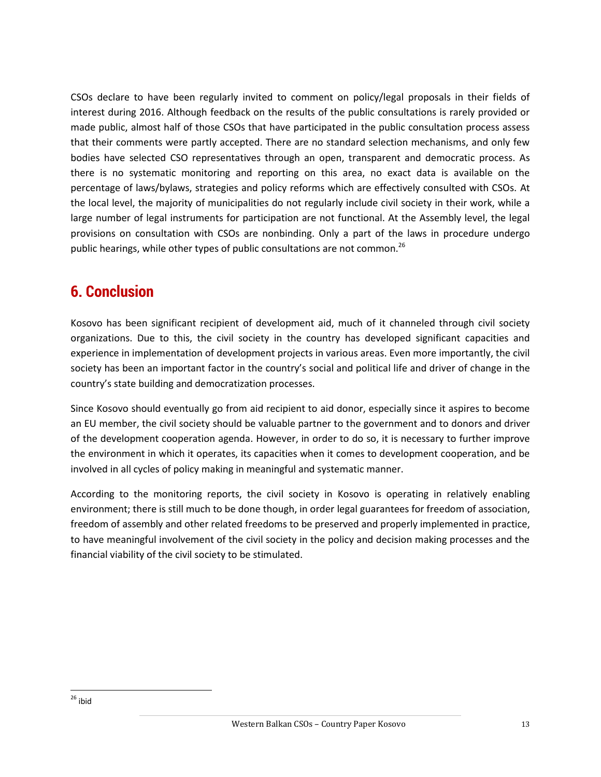CSOs declare to have been regularly invited to comment on policy/legal proposals in their fields of interest during 2016. Although feedback on the results of the public consultations is rarely provided or made public, almost half of those CSOs that have participated in the public consultation process assess that their comments were partly accepted. There are no standard selection mechanisms, and only few bodies have selected CSO representatives through an open, transparent and democratic process. As there is no systematic monitoring and reporting on this area, no exact data is available on the percentage of laws/bylaws, strategies and policy reforms which are effectively consulted with CSOs. At the local level, the majority of municipalities do not regularly include civil society in their work, while a large number of legal instruments for participation are not functional. At the Assembly level, the legal provisions on consultation with CSOs are nonbinding. Only a part of the laws in procedure undergo public hearings, while other types of public consultations are not common.<sup>26</sup>

# <span id="page-12-0"></span>**6. Conclusion**

Kosovo has been significant recipient of development aid, much of it channeled through civil society organizations. Due to this, the civil society in the country has developed significant capacities and experience in implementation of development projects in various areas. Even more importantly, the civil society has been an important factor in the country's social and political life and driver of change in the country's state building and democratization processes.

Since Kosovo should eventually go from aid recipient to aid donor, especially since it aspires to become an EU member, the civil society should be valuable partner to the government and to donors and driver of the development cooperation agenda. However, in order to do so, it is necessary to further improve the environment in which it operates, its capacities when it comes to development cooperation, and be involved in all cycles of policy making in meaningful and systematic manner.

According to the monitoring reports, the civil society in Kosovo is operating in relatively enabling environment; there is still much to be done though, in order legal guarantees for freedom of association, freedom of assembly and other related freedoms to be preserved and properly implemented in practice, to have meaningful involvement of the civil society in the policy and decision making processes and the financial viability of the civil society to be stimulated.